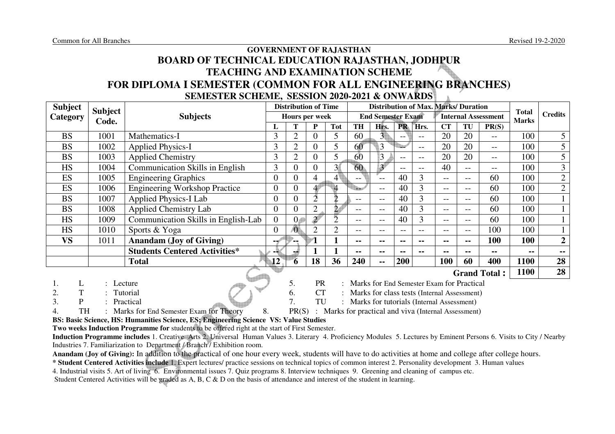# **GOVERNMENT OF RAJASTHAN BOARD OF TECHNICAL EDUCATION RAJASTHAN, JODHPUR TEACHING AND EXAMINATION SCHEME FOR DIPLOMA I SEMESTER (COMMON FOR ALL ENGINEERING BRANCHES)SEMESTER SCHEME, SESSION 2020-2021 & ONWARDS**

| <b>Subject</b> | <b>Subject</b> |                                        |                                  |                | <b>Distribution of Time</b> |                |           | <b>Distribution of Max. Marks/ Duration</b> |                |       |                   |                   |                            |                              |                |
|----------------|----------------|----------------------------------------|----------------------------------|----------------|-----------------------------|----------------|-----------|---------------------------------------------|----------------|-------|-------------------|-------------------|----------------------------|------------------------------|----------------|
| Category       | Code.          | <b>Subjects</b>                        |                                  |                | Hours per week              |                |           | <b>End Semester Exam</b>                    |                |       |                   |                   | <b>Internal Assessment</b> | <b>Total</b><br><b>Marks</b> | <b>Credits</b> |
|                |                |                                        |                                  |                | P                           | <b>Tot</b>     | <b>TH</b> | Hrs.                                        | <b>PR</b>      | Hrs.  | <b>CT</b>         | TU                | PR(S)                      |                              |                |
| <b>BS</b>      | 1001           | Mathematics-I                          | 3                                | $\overline{2}$ | 0                           |                | 60        | $\overline{3}$                              | $- -$          | $- -$ | 20                | 20                | $--$                       | 100                          | 5 <sup>5</sup> |
| <b>BS</b>      | 1002           | <b>Applied Physics-I</b>               | 3                                | ↑              | $\theta$                    | 5              | 60        | 3                                           |                | $- -$ | 20                | 20                | $- -$                      | 100                          | 5              |
| <b>BS</b>      | 1003           | <b>Applied Chemistry</b>               | 3                                | $\overline{2}$ | $\theta$                    | 5              | 60        | 3                                           | $- -$          | $- -$ | 20                | 20                | $--$                       | 100                          | 5              |
| <b>HS</b>      | 1004           | <b>Communication Skills in English</b> | 3                                |                | 0                           | 3 <sup>4</sup> | 60        | $3^{\circ}$                                 | $- -$          | $- -$ | 40                | $- -$             | $- -$                      | 100                          | $\overline{3}$ |
| <b>ES</b>      | 1005           | <b>Engineering Graphics</b>            | $\overline{0}$                   |                | 4                           | $4^{\circ}$    | $- -$     | $- -$                                       | 40             | 3     | $- -$             | $\qquad \qquad -$ | 60                         | 100                          | $\overline{2}$ |
| ES             | 1006           | <b>Engineering Workshop Practice</b>   | $\overline{0}$                   |                |                             | $\overline{4}$ | e de la   | $-$                                         | 40             | 3     | $\qquad \qquad -$ | $--$              | 60                         | 100                          | $\overline{2}$ |
| <b>BS</b>      | 1007           | <b>Applied Physics-I Lab</b>           | 0                                |                |                             | າ              | $- -$     | $- -$                                       | 40             | 3     | $- -$             | $- -$             | 60                         | 100                          |                |
| <b>BS</b>      | 1008           | <b>Applied Chemistry Lab</b>           | $\overline{0}$                   |                |                             | $\overline{2}$ | $- -$     | $- -$                                       | 40             | 3     | $- -$             | $- -$             | 60                         | 100                          |                |
| <b>HS</b>      | 1009           | Communication Skills in English-Lab    | $\overline{0}$                   | 0 <sub>4</sub> | $\overline{2}$              | ר              | $- -$     | $- -$                                       | 40             | 3     | $- -$             | $--$              | 60                         | 100                          |                |
| <b>HS</b>      | 1010           | Sports & Yoga                          | $\overline{0}$                   | Æ              | $\mathcal{D}$               | $\overline{2}$ | $ -$      | --                                          | --             | $- -$ | $- -$             | $--$              | 100                        | 100                          |                |
| <b>VS</b>      | 1011           | <b>Anandam (Joy of Giving)</b>         | --6                              |                |                             |                | $- -$     | --                                          | $\blacksquare$ | --    | $\blacksquare$    | $\sim$ $\sim$     | 100                        | 100                          | $\overline{2}$ |
|                |                | <b>Students Centered Activities*</b>   |                                  |                |                             |                | $-$       | --                                          | $\blacksquare$ | --    | $\blacksquare$    | $- -$             | --                         | --                           | --             |
|                |                | <b>Total</b>                           | $\mathbf{12}^{\mathsf{\dagger}}$ | `6             | 18                          | 36             | 240       | --                                          | <b>200</b>     |       | 100               | 60                | 400                        | 1100                         | 28             |
|                |                |                                        |                                  |                |                             |                |           |                                             |                |       |                   |                   | <b>Grand Total:</b>        | 1100                         | 28             |

1. L : Lecture : Lecture 5. PR : Marks for End Semester Exam for Practical

- 2. T : Tutorial 6. CT : Marks for class tests (Internal Assessment)
- 

3. P : Practical 7. TU : Marks for tutorials (Internal Assessment)

4. TH : Marks for End Semester Exam for Theory 8. PR(S) : Marks for practical and viva (Internal Assessment)

**BS: Basic Science, HS: Humanities Science, ES; Engineering Science VS: Value Studies** 

**Two weeks Induction Programme for** students to be offered right at the start of First Semester.

 **Induction Programme includes** 1. Creative Arts 2. Universal Human Values 3. Literary 4. Proficiency Modules 5. Lectures by Eminent Persons 6. Visits to City / Nearby Industries 7. Familiarization to Department / Branch / Exhibition room.

**Anandam (Joy of Giving):** In addition to the practical of one hour every week, students will have to do activities at home and college after college hours.

**\* Student Centered Activities include** 1. Expert lectures/ practice sessions on technical topics of common interest 2. Personality development 3. Human values

4. Industrial visits 5. Art of living 6. Environmental issues 7. Quiz programs 8. Interview techniques 9. Greening and cleaning of campus etc.

Student Centered Activities will be graded as A, B, C & D on the basis of attendance and interest of the student in learning.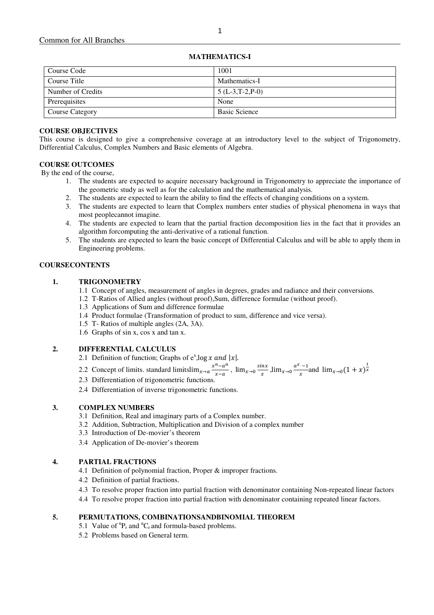| <b>MATHEMATICS-I</b> |  |
|----------------------|--|
|----------------------|--|

| Course Code       | 1001                 |
|-------------------|----------------------|
| Course Title      | Mathematics-I        |
| Number of Credits | $5(L-3,T-2,P-0)$     |
| Prerequisites     | None                 |
| Course Category   | <b>Basic Science</b> |

## **COURSE OBJECTIVES**

This course is designed to give a comprehensive coverage at an introductory level to the subject of Trigonometry, Differential Calculus, Complex Numbers and Basic elements of Algebra.

## **COURSE OUTCOMES**

By the end of the course,

- 1. The students are expected to acquire necessary background in Trigonometry to appreciate the importance of the geometric study as well as for the calculation and the mathematical analysis.
- 2. The students are expected to learn the ability to find the effects of changing conditions on a system.
- 3. The students are expected to learn that Complex numbers enter studies of physical phenomena in ways that most peoplecannot imagine.
- 4. The students are expected to learn that the partial fraction decomposition lies in the fact that it provides an algorithm forcomputing the anti-derivative of a rational function.
- 5. The students are expected to learn the basic concept of Differential Calculus and will be able to apply them in Engineering problems.

#### **COURSECONTENTS**

#### **1. TRIGONOMETRY**

- 1.1 Concept of angles, measurement of angles in degrees, grades and radiance and their conversions.
- 1.2 T-Ratios of Allied angles (without proof),Sum, difference formulae (without proof).
- 1.3 Applications of Sum and difference formulae
- 1.4 Product formulae (Transformation of product to sum, difference and vice versa).
- 1.5 T- Ratios of multiple angles (2A, 3A).
- 1.6 Graphs of sin x, cos x and tan x.

#### **2. DIFFERENTIAL CALCULUS**

- 2.1 Definition of function; Graphs of  $e^x$ , log x and  $|x|$ .
- 2.2 Concept of limits. standard limitslim<sub> $x \to a \frac{x^n a^n}{x a}$ </sub>  $\frac{n-a^n}{x-a}$ ,  $\lim_{x\to 0} \frac{\sin x}{x}$  $\frac{dx}{x}$ ,  $\lim_{x\to 0} \frac{a^x - 1}{x}$  $\frac{-1}{x}$  and  $\lim_{x \to 0} (1 + x)^{\frac{1}{x}}$
- 2.3 Differentiation of trigonometric functions.
- 2.4 Differentiation of inverse trigonometric functions.

#### **3. COMPLEX NUMBERS**

- 3.1 Definition, Real and imaginary parts of a Complex number.
- 3.2 Addition, Subtraction, Multiplication and Division of a complex number
- 3.3 Introduction of De-movier's theorem
- 3.4 Application of De-movier's theorem

#### **4. PARTIAL FRACTIONS**

- 4.1 Definition of polynomial fraction, Proper & improper fractions.
- 4.2 Definition of partial fractions.
- 4.3 To resolve proper fraction into partial fraction with denominator containing Non-repeated linear factors
- 4.4 To resolve proper fraction into partial fraction with denominator containing repeated linear factors.

## **5. PERMUTATIONS, COMBINATIONSANDBINOMIAL THEOREM**

- 5.1 Value of  ${}^{n}P_{r}$  and  ${}^{n}C_{r}$  and formula-based problems.
- 5.2 Problems based on General term.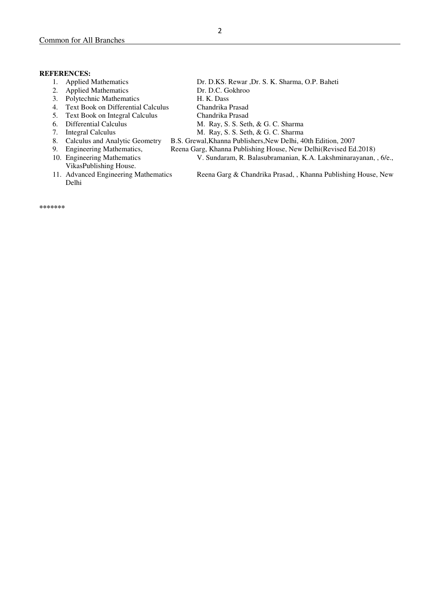#### **REFERENCES:**

- 
- 2. Applied Mathematics Dr. D.C. Gokhroo
- 3. Polytechnic Mathematics H. K. Dass
- 4. Text Book on Differential Calculus Chandrika Prasad
- 5. Text Book on Integral Calculus Chandrika Prasad
- 
- 
- 
- 
- VikasPublishing House.
- Delhi
- 1. Applied Mathematics Dr. D.KS. Rewar ,Dr. S. K. Sharma, O.P. Baheti
	-
	- -
	-
- 6. Differential Calculus M. Ray, S. S. Seth, & G. C. Sharma<br>7. Integral Calculus M. Ray, S. S. Seth, & G. C. Sharma
	-
- 7. Integral Calculus M. Ray, S. S. Seth, & G. C. Sharma<br>
8. Calculus and Analytic Geometry B.S. Grewal, Khanna Publishers, New Delhi, 4 8. Calculus and Analytic Geometry B.S. Grewal, Khanna Publishers, New Delhi, 40th Edition, 2007<br>9. Engineering Mathematics, Reena Garg, Khanna Publishing House, New Delhi(Revised Ed
	-
- 9. Engineering Mathematics, Reena Garg, Khanna Publishing House, New Delhi(Revised Ed.2018)<br>10. Engineering Mathematics V. Sundaram, R. Balasubramanian, K.A. Lakshminarayanan, V. Sundaram, R. Balasubramanian, K.A. Lakshminarayanan, , 6/e.,

11. Advanced Engineering Mathematics Reena Garg & Chandrika Prasad, , Khanna Publishing House, New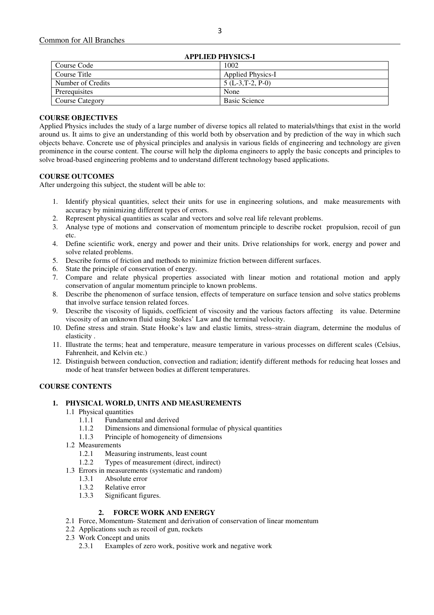| APPLIED PHYSICS-I      |                          |  |  |
|------------------------|--------------------------|--|--|
| Course Code            | 1002                     |  |  |
| Course Title           | <b>Applied Physics-I</b> |  |  |
| Number of Credits      | $5(L-3,T-2, P-0)$        |  |  |
| Prerequisites          | None                     |  |  |
| <b>Course Category</b> | <b>Basic Science</b>     |  |  |
|                        |                          |  |  |

 $\overline{\phantom{a}}$ 

## **COURSE OBJECTIVES**

Applied Physics includes the study of a large number of diverse topics all related to materials/things that exist in the world around us. It aims to give an understanding of this world both by observation and by prediction of the way in which such objects behave. Concrete use of physical principles and analysis in various fields of engineering and technology are given prominence in the course content. The course will help the diploma engineers to apply the basic concepts and principles to solve broad-based engineering problems and to understand different technology based applications.

## **COURSE OUTCOMES**

After undergoing this subject, the student will be able to:

- 1. Identify physical quantities, select their units for use in engineering solutions, and make measurements with accuracy by minimizing different types of errors.
- 2. Represent physical quantities as scalar and vectors and solve real life relevant problems.
- 3. Analyse type of motions and conservation of momentum principle to describe rocket propulsion, recoil of gun etc.
- 4. Define scientific work, energy and power and their units. Drive relationships for work, energy and power and solve related problems.
- 5. Describe forms of friction and methods to minimize friction between different surfaces.
- 6. State the principle of conservation of energy.
- 7. Compare and relate physical properties associated with linear motion and rotational motion and apply conservation of angular momentum principle to known problems.
- 8. Describe the phenomenon of surface tension, effects of temperature on surface tension and solve statics problems that involve surface tension related forces.
- 9. Describe the viscosity of liquids, coefficient of viscosity and the various factors affecting its value. Determine viscosity of an unknown fluid using Stokes' Law and the terminal velocity.
- 10. Define stress and strain. State Hooke's law and elastic limits, stress–strain diagram, determine the modulus of elasticity .
- 11. Illustrate the terms; heat and temperature, measure temperature in various processes on different scales (Celsius, Fahrenheit, and Kelvin etc.)
- 12. Distinguish between conduction, convection and radiation; identify different methods for reducing heat losses and mode of heat transfer between bodies at different temperatures.

#### **COURSE CONTENTS**

#### **1. PHYSICAL WORLD, UNITS AND MEASUREMENTS**

- 1.1 Physical quantities
	- 1.1.1 Fundamental and derived
	- 1.1.2 Dimensions and dimensional formulae of physical quantities
	- 1.1.3 Principle of homogeneity of dimensions
- 1.2 Measurements
	- 1.2.1 Measuring instruments, least count<br>1.2.2 Types of measurement (direct indirect)
	- Types of measurement (direct, indirect)
- 1.3 Errors in measurements (systematic and random)
	- 1.3.1 Absolute error
	- 1.3.2 Relative error
	- 1.3.3 Significant figures.

#### **2. FORCE WORK AND ENERGY**

- 2.1 Force, Momentum- Statement and derivation of conservation of linear momentum
- 2.2 Applications such as recoil of gun, rockets
- 2.3 Work Concept and units
	- 2.3.1 Examples of zero work, positive work and negative work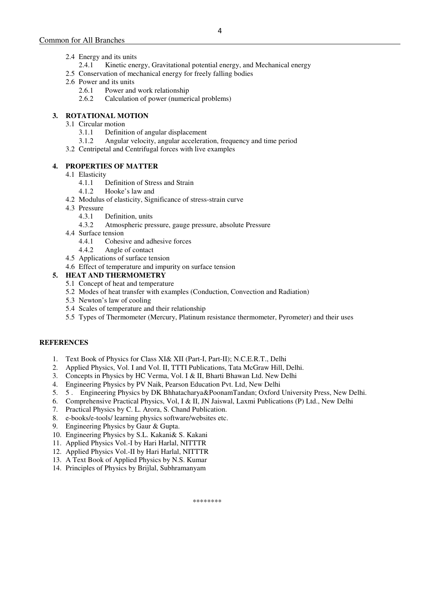- 2.4.1 Kinetic energy, Gravitational potential energy, and Mechanical energy
- 2.5 Conservation of mechanical energy for freely falling bodies
- 2.6 Power and its units
	- 2.6.1 Power and work relationship
	- 2.6.2 Calculation of power (numerical problems)

## **3. ROTATIONAL MOTION**

- 3.1 Circular motion
	- 3.1.1 Definition of angular displacement<br>3.1.2 Angular velocity, angular accelerat
	- 3.1.2 Angular velocity, angular acceleration, frequency and time period
- 3.2 Centripetal and Centrifugal forces with live examples

## **4. PROPERTIES OF MATTER**

- 4.1 Elasticity
	- 4.1.1 Definition of Stress and Strain
	- 4.1.2 Hooke's law and
- 4.2 Modulus of elasticity, Significance of stress-strain curve
- 4.3 Pressure<br> $431$ 
	- Definition, units
	- 4.3.2 Atmospheric pressure, gauge pressure, absolute Pressure
- 4.4 Surface tension
	- 4.4.1 Cohesive and adhesive forces
	- 4.4.2 Angle of contact
- 4.5 Applications of surface tension
- 4.6 Effect of temperature and impurity on surface tension

## **5. HEAT AND THERMOMETRY**

- 5.1 Concept of heat and temperature
- 5.2 Modes of heat transfer with examples (Conduction, Convection and Radiation)
- 5.3 Newton's law of cooling
- 5.4 Scales of temperature and their relationship
- 5.5 Types of Thermometer (Mercury, Platinum resistance thermometer, Pyrometer) and their uses

## **REFERENCES**

- 1. Text Book of Physics for Class XI& XII (Part-I, Part-II); N.C.E.R.T., Delhi
- 2. Applied Physics, Vol. I and Vol. II, TTTI Publications, Tata McGraw Hill, Delhi.
- 3. Concepts in Physics by HC Verma, Vol. I & II, Bharti Bhawan Ltd. New Delhi
- 4. Engineering Physics by PV Naik, Pearson Education Pvt. Ltd, New Delhi
- 5. 5 . Engineering Physics by DK Bhhatacharya&PoonamTandan; Oxford University Press, New Delhi.
- 6. Comprehensive Practical Physics, Vol, I & II, JN Jaiswal, Laxmi Publications (P) Ltd., New Delhi
- 7. Practical Physics by C. L. Arora, S. Chand Publication.
- 8. e-books/e-tools/ learning physics software/websites etc.
- 9. Engineering Physics by Gaur & Gupta.
- 10. Engineering Physics by S.L. Kakani& S. Kakani
- 11. Applied Physics Vol.-I by Hari Harlal, NITTTR
- 12. Applied Physics Vol.-II by Hari Harlal, NITTTR
- 13. A Text Book of Applied Physics by N.S. Kumar
- 14. Principles of Physics by Brijlal, Subhramanyam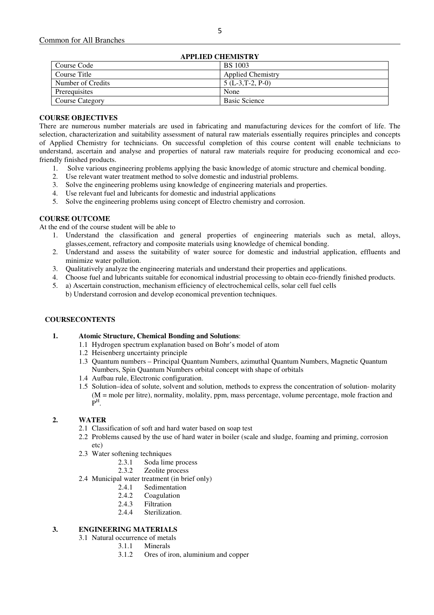| <b>APPLIED CHEMISTRY</b> |                          |  |  |
|--------------------------|--------------------------|--|--|
| Course Code              | <b>BS</b> 1003           |  |  |
| Course Title             | <b>Applied Chemistry</b> |  |  |
| Number of Credits        | $5(L-3,T-2, P-0)$        |  |  |
| Prerequisites            | None                     |  |  |
| Course Category          | <b>Basic Science</b>     |  |  |
|                          |                          |  |  |

## **APPLIED CHEMISTRY**

#### **COURSE OBJECTIVES**

There are numerous number materials are used in fabricating and manufacturing devices for the comfort of life. The selection, characterization and suitability assessment of natural raw materials essentially requires principles and concepts of Applied Chemistry for technicians. On successful completion of this course content will enable technicians to understand, ascertain and analyse and properties of natural raw materials require for producing economical and ecofriendly finished products.

- 1. Solve various engineering problems applying the basic knowledge of atomic structure and chemical bonding.
- 2. Use relevant water treatment method to solve domestic and industrial problems.
- 3. Solve the engineering problems using knowledge of engineering materials and properties.
- 4. Use relevant fuel and lubricants for domestic and industrial applications
- 5. Solve the engineering problems using concept of Electro chemistry and corrosion.

#### **COURSE OUTCOME**

At the end of the course student will be able to

- 1. Understand the classification and general properties of engineering materials such as metal, alloys, glasses,cement, refractory and composite materials using knowledge of chemical bonding.
- 2. Understand and assess the suitability of water source for domestic and industrial application, effluents and minimize water pollution.
- 3. Qualitatively analyze the engineering materials and understand their properties and applications.
- 4. Choose fuel and lubricants suitable for economical industrial processing to obtain eco-friendly finished products.
- 5. a) Ascertain construction, mechanism efficiency of electrochemical cells, solar cell fuel cells b) Understand corrosion and develop economical prevention techniques.

#### **COURSECONTENTS**

#### **1. Atomic Structure, Chemical Bonding and Solutions**:

- 1.1 Hydrogen spectrum explanation based on Bohr's model of atom
- 1.2 Heisenberg uncertainty principle
- 1.3 Quantum numbers Principal Quantum Numbers, azimuthal Quantum Numbers, Magnetic Quantum Numbers, Spin Quantum Numbers orbital concept with shape of orbitals
- 1.4 Aufbau rule, Electronic configuration.
- 1.5 Solution–idea of solute, solvent and solution, methods to express the concentration of solution- molarity (M = mole per litre), normality, molality, ppm, mass percentage, volume percentage, mole fraction and  $\mathbf{P}^\text{H}$ .

#### **2. WATER**

- 2.1 Classification of soft and hard water based on soap test
- 2.2 Problems caused by the use of hard water in boiler (scale and sludge, foaming and priming, corrosion etc)
- 2.3 Water softening techniques<br> $2.3.1$  Soda lime
	- 2.3.1 Soda lime process<br>2.3.2 Zeolite process
	- Zeolite process
- 2.4 Municipal water treatment (in brief only)
	- 2.4.1 Sedimentation
	- 2.4.2 Coagulation
	- 2.4.3 Filtration
	- 2.4.4 Sterilization.

## **3. ENGINEERING MATERIALS**

- 3.1 Natural occurrence of metals
	- 3.1.1 Minerals
		- 3.1.2 Ores of iron, aluminium and copper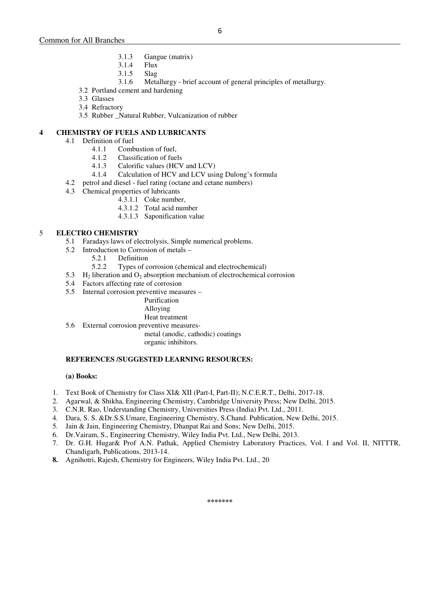- 3.1.3 Gangue (matrix)
- 3.1.4 Flux
- 3.1.5 Slag
- 3.1.6 Metallurgy brief account of general principles of metallurgy.
- 3.2 Portland cement and hardening
- 3.3 Glasses
- 3.4 Refractory
- 3.5 Rubber Natural Rubber, Vulcanization of rubber

## **4 CHEMISTRY OF FUELS AND LUBRICANTS**

- 4.1 Definition of fuel
	- 4.1.1 Combustion of fuel,
	- 4.1.2 Classification of fuels<br>4.1.3 Calorific values (HCV
	- Calorific values (HCV and LCV)
	- 4.1.4 Calculation of HCV and LCV using Dulong's formula
- 4.2 petrol and diesel fuel rating (octane and cetane numbers)
- 4.3 Chemical properties of lubricants
	- 4.3.1.1 Coke number,
	- 4.3.1.2 Total acid number
	- 4.3.1.3 Saponification value

## 5 **ELECTRO CHEMISTRY**

- 5.1 Faradays laws of electrolysis, Simple numerical problems.
- 5.2 Introduction to Corrosion of metals
	- 5.2.1 Definition
	- 5.2.2 Types of corrosion (chemical and electrochemical)
- 5.3  $H_2$  liberation and  $O_2$  absorption mechanism of electrochemical corrosion
- 5.4 Factors affecting rate of corrosion
- 5.5 Internal corrosion preventive measures –

# Purification

- Alloying Heat treatment
- 5.6 External corrosion preventive measures-

metal (anodic, cathodic) coatings

organic inhibitors.

#### **REFERENCES /SUGGESTED LEARNING RESOURCES:**

## **(a) Books:**

- 1. Text Book of Chemistry for Class XI& XII (Part-I, Part-II); N.C.E.R.T., Delhi, 2017-18.
- 2. Agarwal, & Shikha, Engineering Chemistry, Cambridge University Press; New Delhi, 2015.
- 3. C.N.R. Rao, Understanding Chemistry, Universities Press (India) Pvt. Ltd., 2011.
- 4. Dara, S. S. &Dr.S.S.Umare, Engineering Chemistry, S.Chand. Publication, New Delhi, 2015.
- 5. Jain & Jain, Engineering Chemistry, Dhanpat Rai and Sons; New Delhi, 2015.
- 6. Dr.Vairam, S., Engineering Chemistry, Wiley India Pvt. Ltd., New Delhi, 2013.
- 7. Dr. G.H. Hugar& Prof A.N. Pathak, Applied Chemistry Laboratory Practices, Vol. I and Vol. II, NITTTR, Chandigarh, Publications, 2013-14.
- **8.** Agnihotri, Rajesh, Chemistry for Engineers, Wiley India Pvt. Ltd., 20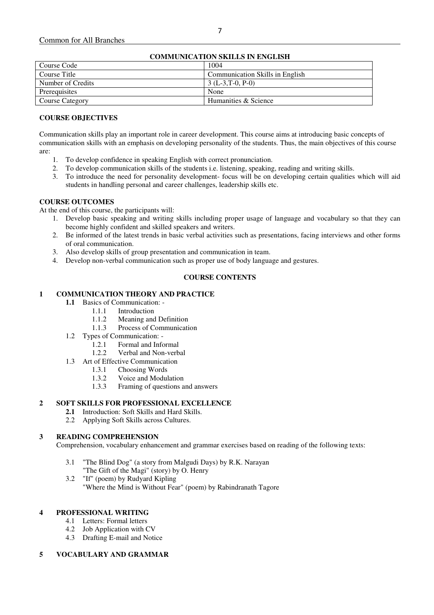|                        | <b>COMMUNICATION SKILLS IN ENGLISH</b> |
|------------------------|----------------------------------------|
| Course Code            | 1004                                   |
| Course Title           | Communication Skills in English        |
| Number of Credits      | $3(L-3,T-0, P-0)$                      |
| Prerequisites          | None                                   |
| <b>Course Category</b> | Humanities & Science                   |

## **COMMUNICATION SKILLS IN ENGLISH**

## **COURSE OBJECTIVES**

Communication skills play an important role in career development. This course aims at introducing basic concepts of communication skills with an emphasis on developing personality of the students. Thus, the main objectives of this course are:

- 1. To develop confidence in speaking English with correct pronunciation.
- 2. To develop communication skills of the students i.e. listening, speaking, reading and writing skills.
- 3. To introduce the need for personality development- focus will be on developing certain qualities which will aid students in handling personal and career challenges, leadership skills etc.

## **COURSE OUTCOMES**

At the end of this course, the participants will:

- 1. Develop basic speaking and writing skills including proper usage of language and vocabulary so that they can become highly confident and skilled speakers and writers.
- 2. Be informed of the latest trends in basic verbal activities such as presentations, facing interviews and other forms of oral communication.
- 3. Also develop skills of group presentation and communication in team.
- 4. Develop non-verbal communication such as proper use of body language and gestures.

## **COURSE CONTENTS**

## **1 COMMUNICATION THEORY AND PRACTICE**

- **1.1** Basics of Communication:
	- 1.1.1 Introduction
	- 1.1.2 Meaning and Definition
	- 1.1.3 Process of Communication
- 1.2 Types of Communication:
	- 1.2.1 Formal and Informal
	- 1.2.2 Verbal and Non-verbal
- 1.3 Art of Effective Communication
	- 1.3.1 Choosing Words
	- 1.3.2 Voice and Modulation
	- 1.3.3 Framing of questions and answers

## **2 SOFT SKILLS FOR PROFESSIONAL EXCELLENCE**

- **2.1** Introduction: Soft Skills and Hard Skills.
- 2.2 Applying Soft Skills across Cultures.

#### **3 READING COMPREHENSION**

Comprehension, vocabulary enhancement and grammar exercises based on reading of the following texts:

- 3.1 "The Blind Dog" (a story from Malgudi Days) by R.K. Narayan "The Gift of the Magi" (story) by O. Henry
- 3.2 "If" (poem) by Rudyard Kipling
	- "Where the Mind is Without Fear" (poem) by Rabindranath Tagore

#### **4 PROFESSIONAL WRITING**

- 4.1 Letters: Formal letters
- 4.2 Job Application with CV
- 4.3 Drafting E-mail and Notice

#### **5 VOCABULARY AND GRAMMAR**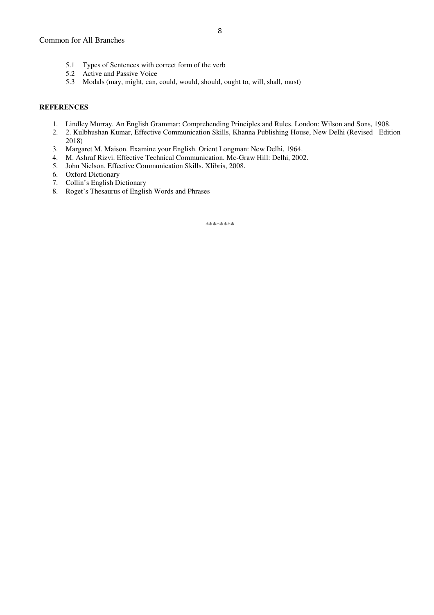- 5.2 Active and Passive Voice
- 5.3 Modals (may, might, can, could, would, should, ought to, will, shall, must)

#### **REFERENCES**

- 1. Lindley Murray. An English Grammar: Comprehending Principles and Rules. London: Wilson and Sons, 1908.
- 2. 2. Kulbhushan Kumar, Effective Communication Skills, Khanna Publishing House, New Delhi (Revised Edition 2018)
- 3. Margaret M. Maison. Examine your English. Orient Longman: New Delhi, 1964.
- 4. M. Ashraf Rizvi. Effective Technical Communication. Mc-Graw Hill: Delhi, 2002.
- 5. John Nielson. Effective Communication Skills. Xlibris, 2008.
- 6. Oxford Dictionary
- 7. Collin's English Dictionary
- 8. Roget's Thesaurus of English Words and Phrases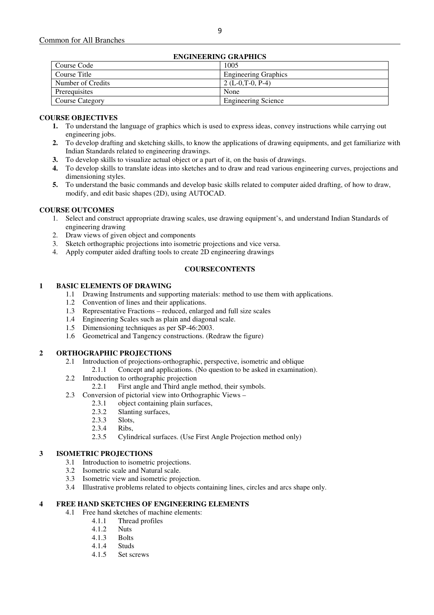## **ENGINEERING GRAPHICS**

| евченчения окан ню     |                             |  |  |  |
|------------------------|-----------------------------|--|--|--|
| Course Code            | 1005                        |  |  |  |
| Course Title           | <b>Engineering Graphics</b> |  |  |  |
| Number of Credits      | 2 $(L-0,T-0, P-4)$          |  |  |  |
| Prerequisites          | None                        |  |  |  |
| <b>Course Category</b> | <b>Engineering Science</b>  |  |  |  |

## **COURSE OBJECTIVES**

- **1.** To understand the language of graphics which is used to express ideas, convey instructions while carrying out engineering jobs.
- **2.** To develop drafting and sketching skills, to know the applications of drawing equipments, and get familiarize with Indian Standards related to engineering drawings.
- **3.** To develop skills to visualize actual object or a part of it, on the basis of drawings.
- **4.** To develop skills to translate ideas into sketches and to draw and read various engineering curves, projections and dimensioning styles.
- **5.** To understand the basic commands and develop basic skills related to computer aided drafting, of how to draw, modify, and edit basic shapes (2D), using AUTOCAD.

## **COURSE OUTCOMES**

- 1. Select and construct appropriate drawing scales, use drawing equipment's, and understand Indian Standards of engineering drawing
- 2. Draw views of given object and components
- 3. Sketch orthographic projections into isometric projections and vice versa.
- 4. Apply computer aided drafting tools to create 2D engineering drawings

#### **COURSECONTENTS**

#### **1 BASIC ELEMENTS OF DRAWING**

- 1.1 Drawing Instruments and supporting materials: method to use them with applications.
- 1.2 Convention of lines and their applications.
- 1.3 Representative Fractions reduced, enlarged and full size scales
- 1.4 Engineering Scales such as plain and diagonal scale.
- 1.5 Dimensioning techniques as per SP-46:2003.
- 1.6 Geometrical and Tangency constructions. (Redraw the figure)

#### **2 ORTHOGRAPHIC PROJECTIONS**

- 2.1 Introduction of projections-orthographic, perspective, isometric and oblique
	- 2.1.1 Concept and applications. (No question to be asked in examination).
- 2.2 Introduction to orthographic projection
	- 2.2.1 First angle and Third angle method, their symbols.
- 2.3 Conversion of pictorial view into Orthographic Views
	- 2.3.1 object containing plain surfaces,
		- 2.3.2 Slanting surfaces,<br>2.3.3 Slots,
	- Slots,
	- 2.3.4 Ribs,
	- 2.3.5 Cylindrical surfaces. (Use First Angle Projection method only)

## **3 ISOMETRIC PROJECTIONS**

- 3.1 Introduction to isometric projections.
- 3.2 Isometric scale and Natural scale.
- 3.3 Isometric view and isometric projection.
- 3.4 Illustrative problems related to objects containing lines, circles and arcs shape only.

## **4 FREE HAND SKETCHES OF ENGINEERING ELEMENTS**

- 4.1 Free hand sketches of machine elements:
	- 4.1.1 Thread profiles
		- 4.1.2 Nuts
	- 4.1.3 Bolts
	- 4.1.4 Studs
	- 4.1.5 Set screws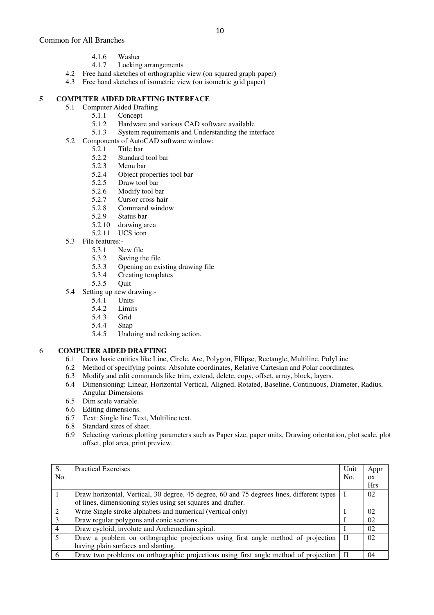- 4.1.6 Washer
- 4.1.7 Locking arrangements
- 4.2 Free hand sketches of orthographic view (on squared graph paper)
- 4.3 Free hand sketches of isometric view (on isometric grid paper)

## **5 COMPUTER AIDED DRAFTING INTERFACE**

- 5.1 Computer Aided Drafting<br>5.1.1 Concent
	- 5.1.1 Concept<br>5.1.2 Hardwar
	- 5.1.2 Hardware and various CAD software available<br>5.1.3 System requirements and Understanding the int
	- System requirements and Understanding the interface
- 5.2 Components of AutoCAD software window:
	- 5.2.1 Title bar
		- 5.2.2 Standard tool bar<br>5.2.3 Menu bar
		- 5.2.3 Menu bar
		- 5.2.4 Object properties tool bar<br>5.2.5 Draw tool bar
		- 5.2.5 Draw tool bar<br>5.2.6 Modify tool ba
		- 5.2.6 Modify tool bar
		- 5.2.7 Cursor cross hair
		- 5.2.8 Command window<br>5.2.9 Status bar
		- Status bar
		- 5.2.10 drawing area
		- 5.2.11 UCS icon
- 5.3 File features:-
	- 5.3.1 New file
	- 5.3.2 Saving the file
	- 5.3.3 Opening an existing drawing file
	- 5.3.4 Creating templates
	- 5.3.5 Quit
- 5.4 Setting up new drawing:-
	- 5.4.1 Units
	- 5.4.2 Limits
	- 5.4.3 Grid
	- 5.4.4 Snap
	- 5.4.5 Undoing and redoing action.

## 6 **COMPUTER AIDED DRAFTING**

- 6.1 Draw basic entities like Line, Circle, Arc, Polygon, Ellipse, Rectangle, Multiline, PolyLine
- Method of specifying points: Absolute coordinates, Relative Cartesian and Polar coordinates.
- 6.3 Modify and edit commands like trim, extend, delete, copy, offset, array, block, layers.
- 6.4 Dimensioning: Linear, Horizontal Vertical, Aligned, Rotated, Baseline, Continuous, Diameter, Radius, Angular Dimensions
- 6.5 Dim scale variable.
- 6.6 Editing dimensions.<br>6.7 Text: Single line Text
- Text: Single line Text, Multiline text.
- 6.8 Standard sizes of sheet.
- 6.9 Selecting various plotting parameters such as Paper size, paper units, Drawing orientation, plot scale, plot offset, plot area, print preview.

| S.                          | <b>Practical Exercises</b>                                                                | Unit | Appr       |
|-----------------------------|-------------------------------------------------------------------------------------------|------|------------|
| No.                         |                                                                                           | No.  | OX.        |
|                             |                                                                                           |      | <b>Hrs</b> |
|                             | Draw horizontal, Vertical, 30 degree, 45 degree, 60 and 75 degrees lines, different types |      | 02         |
|                             | of lines, dimensioning styles using set squares and drafter.                              |      |            |
| $\mathcal{D}_{\mathcal{L}}$ | Write Single stroke alphabets and numerical (vertical only)                               |      | 02         |
| 3                           | Draw regular polygons and conic sections.                                                 |      | 02         |
| $\overline{4}$              | Draw cycloid, involute and Archemedian spiral.                                            |      | 02         |
| 5                           | Draw a problem on orthographic projections using first angle method of projection         | П    | 02         |
|                             | having plain surfaces and slanting.                                                       |      |            |
| 6                           | Draw two problems on orthographic projections using first angle method of projection      |      | 04         |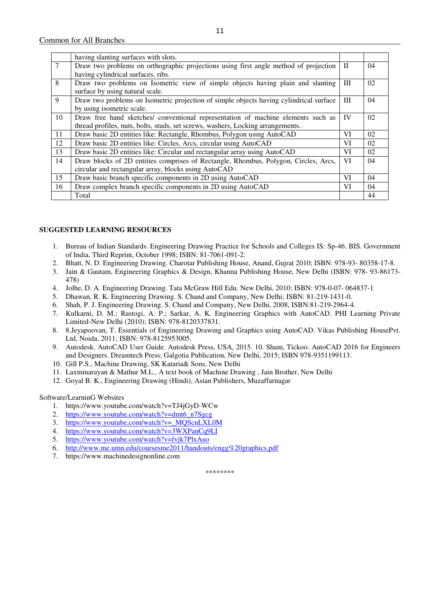|                 | having slanting surfaces with slots.                                                   |              |    |
|-----------------|----------------------------------------------------------------------------------------|--------------|----|
| $7\phantom{.0}$ | Draw two problems on orthographic projections using first angle method of projection   | $\mathbf{H}$ | 04 |
|                 | having cylindrical surfaces, ribs.                                                     |              |    |
| 8               | Draw two problems on Isometric view of simple objects having plain and slanting        | Ш            | 02 |
|                 | surface by using natural scale.                                                        |              |    |
| 9               | Draw two problems on Isometric projection of simple objects having cylindrical surface | Ш            | 04 |
|                 | by using isometric scale.                                                              |              |    |
| 10              | Draw free hand sketches/ conventional representation of machine elements such as       | IV           | 02 |
|                 | thread profiles, nuts, bolts, studs, set screws, washers, Locking arrangements.        |              |    |
| 11              | Draw basic 2D entities like: Rectangle, Rhombus, Polygon using AutoCAD                 | VI           | 02 |
| 12              | Draw basic 2D entities like: Circles, Arcs, circular using AutoCAD                     | VI           | 02 |
| 13              | Draw basic 2D entities like: Circular and rectangular array using AutoCAD              | VI           | 02 |
| 14              | Draw blocks of 2D entities comprises of Rectangle, Rhombus, Polygon, Circles, Arcs,    | VI           | 04 |
|                 | circular and rectangular array, blocks using AutoCAD                                   |              |    |
| 15              | Draw basic branch specific components in 2D using AutoCAD                              | VI           | 04 |
| 16              | Draw complex branch specific components in 2D using AutoCAD                            | VI           | 04 |
|                 | Total                                                                                  |              | 44 |

#### **SUGGESTED LEARNING RESOURCES**

- 1. Bureau of Indian Standards. Engineering Drawing Practice for Schools and Colleges IS: Sp-46. BIS. Government of India, Third Reprint, October 1998; ISBN: 81-7061-091-2.
- 2. Bhatt, N. D. Engineering Drawing. Charotar Publishing House, Anand, Gujrat 2010; ISBN: 978-93- 80358-17-8.
- 3. Jain & Gautam, Engineering Graphics & Design, Khanna Publishing House, New Delhi (ISBN: 978- 93-86173- 478)
- 4. Jolhe, D. A. Engineering Drawing. Tata McGraw Hill Edu. New Delhi, 2010; ISBN: 978-0-07- 064837-1
- 5. Dhawan, R. K. Engineering Drawing. S. Chand and Company, New Delhi; ISBN: 81-219-1431-0.
- 6. Shah, P. J. Engineering Drawing. S. Chand and Company, New Delhi, 2008, ISBN:81-219-2964-4.
- 7. Kulkarni, D. M.; Rastogi, A. P.; Sarkar, A. K. Engineering Graphics with AutoCAD. PHI Learning Private Limited-New Delhi (2010); ISBN: 978-8120337831.
- 8. 8.Jeyapoovan, T. Essentials of Engineering Drawing and Graphics using AutoCAD. Vikas Publishing HousePvt. Ltd, Noida, 2011; ISBN: 978-8125953005.
- 9. Autodesk. AutoCAD User Guide. Autodesk Press, USA, 2015. 10. Sham, Tickoo. AutoCAD 2016 for Engineers and Designers. Dreamtech Press; Galgotia Publication, New Delhi, 2015; ISBN 978-9351199113.
- 10. Gill P.S., Machine Drawing, SK Kataria& Sons, New Delhi
- 11. Laxminarayan & Mathur M.L., A text book of Machine Drawing , Jain Brother, New Delhi
- 12. Goyal B. K., Engineering Drawing (Hindi), Asian Publishers, Muzaffarnagar

#### Software/LearninG Websites

- 1. https://www.youtube.com/watch?v=TJ4jGyD-WCw
- 2. https://www.youtube.com/watch?v=dmt6\_n7Sgcg
- 3. https://www.youtube.com/watch?v=\_MQScnLXL0M
- 4. https://www.youtube.com/watch?v=3WXPanCq9LI
- 5. https://www.youtube.com/watch?v=fvjk7PlxAuo
- 6. http://www.me.umn.edu/coursesme2011/handouts/engg%20graphics.pdf
- 7. https://www.machinedesignonline.com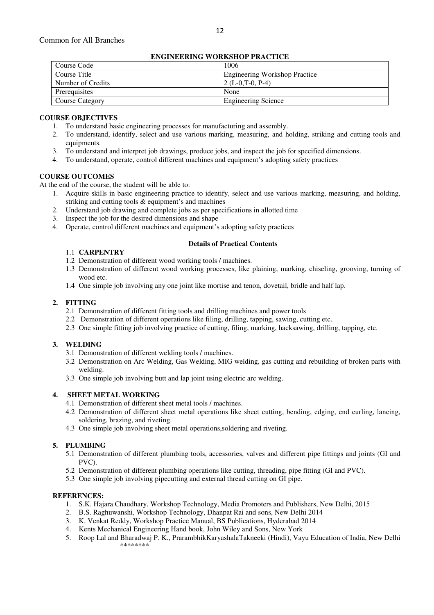## **ENGINEERING WORKSHOP PRACTICE**

| евопедино волюцог гластер |                                      |  |  |  |  |
|---------------------------|--------------------------------------|--|--|--|--|
| Course Code               | 1006                                 |  |  |  |  |
| Course Title              | <b>Engineering Workshop Practice</b> |  |  |  |  |
| Number of Credits         | $2(L-0.T-0.P-4)$                     |  |  |  |  |
| Prerequisites             | None                                 |  |  |  |  |
| Course Category           | <b>Engineering Science</b>           |  |  |  |  |

## **COURSE OBJECTIVES**

- 1. To understand basic engineering processes for manufacturing and assembly.
- 2. To understand, identify, select and use various marking, measuring, and holding, striking and cutting tools and equipments.
- 3. To understand and interpret job drawings, produce jobs, and inspect the job for specified dimensions.
- 4. To understand, operate, control different machines and equipment's adopting safety practices

## **COURSE OUTCOMES**

At the end of the course, the student will be able to:

- 1. Acquire skills in basic engineering practice to identify, select and use various marking, measuring, and holding, striking and cutting tools & equipment's and machines
- 2. Understand job drawing and complete jobs as per specifications in allotted time
- 3. Inspect the job for the desired dimensions and shape
- 4. Operate, control different machines and equipment's adopting safety practices

#### **Details of Practical Contents**

## 1.1 **CARPENTRY**

- 1.2 Demonstration of different wood working tools / machines.
- 1.3 Demonstration of different wood working processes, like plaining, marking, chiseling, grooving, turning of wood etc.
- 1.4 One simple job involving any one joint like mortise and tenon, dovetail, bridle and half lap.

## **2. FITTING**

- 2.1 Demonstration of different fitting tools and drilling machines and power tools
- 2.2 Demonstration of different operations like filing, drilling, tapping, sawing, cutting etc.
- 2.3 One simple fitting job involving practice of cutting, filing, marking, hacksawing, drilling, tapping, etc.

## **3. WELDING**

- 3.1 Demonstration of different welding tools / machines.
- 3.2 Demonstration on Arc Welding, Gas Welding, MIG welding, gas cutting and rebuilding of broken parts with welding.
- 3.3 One simple job involving butt and lap joint using electric arc welding.

## **4. SHEET METAL WORKING**

- 4.1 Demonstration of different sheet metal tools / machines.
- 4.2 Demonstration of different sheet metal operations like sheet cutting, bending, edging, end curling, lancing, soldering, brazing, and riveting.
- 4.3 One simple job involving sheet metal operations,soldering and riveting.

## **5. PLUMBING**

- 5.1 Demonstration of different plumbing tools, accessories, valves and different pipe fittings and joints (GI and PVC).
- 5.2 Demonstration of different plumbing operations like cutting, threading, pipe fitting (GI and PVC).
- 5.3 One simple job involving pipecutting and external thread cutting on GI pipe.

#### **REFERENCES:**

- 1. S.K. Hajara Chaudhary, Workshop Technology, Media Promoters and Publishers, New Delhi, 2015
- 2. B.S. Raghuwanshi, Workshop Technology, Dhanpat Rai and sons, New Delhi 2014
- 3. K. Venkat Reddy, Workshop Practice Manual, BS Publications, Hyderabad 2014
- 4. Kents Mechanical Engineering Hand book, John Wiley and Sons, New York
- 5. Roop Lal and Bharadwaj P. K., PrarambhikKaryashalaTakneeki (Hindi), Vayu Education of India, New Delhi \*\*\*\*\*\*\*\*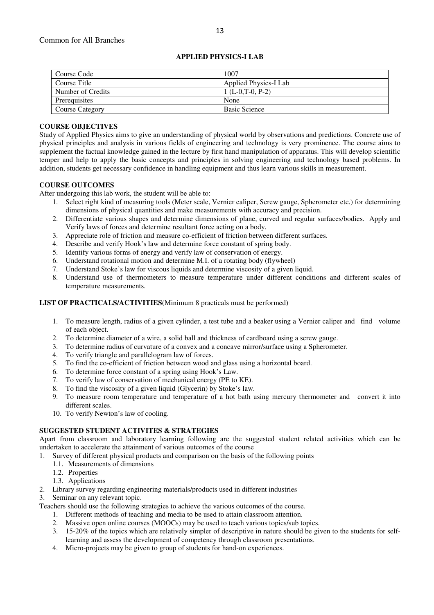| Course Code            | 1007                  |
|------------------------|-----------------------|
| Course Title           | Applied Physics-I Lab |
| Number of Credits      | $1(L-0,T-0, P-2)$     |
| Prerequisites          | None                  |
| <b>Course Category</b> | <b>Basic Science</b>  |

## **APPLIED PHYSICS-I LAB**

## **COURSE OBJECTIVES**

Study of Applied Physics aims to give an understanding of physical world by observations and predictions. Concrete use of physical principles and analysis in various fields of engineering and technology is very prominence. The course aims to supplement the factual knowledge gained in the lecture by first hand manipulation of apparatus. This will develop scientific temper and help to apply the basic concepts and principles in solving engineering and technology based problems. In addition, students get necessary confidence in handling equipment and thus learn various skills in measurement.

#### **COURSE OUTCOMES**

After undergoing this lab work, the student will be able to:

- 1. Select right kind of measuring tools (Meter scale, Vernier caliper, Screw gauge, Spherometer etc.) for determining dimensions of physical quantities and make measurements with accuracy and precision.
- 2. Differentiate various shapes and determine dimensions of plane, curved and regular surfaces/bodies. Apply and Verify laws of forces and determine resultant force acting on a body.
- 3. Appreciate role of friction and measure co-efficient of friction between different surfaces.
- 4. Describe and verify Hook's law and determine force constant of spring body.
- 5. Identify various forms of energy and verify law of conservation of energy.
- 6. Understand rotational motion and determine M.I. of a rotating body (flywheel)
- 7. Understand Stoke's law for viscous liquids and determine viscosity of a given liquid.
- 8. Understand use of thermometers to measure temperature under different conditions and different scales of temperature measurements.

#### **LIST OF PRACTICALS/ACTIVITIES**(Minimum 8 practicals must be performed)

- 1. To measure length, radius of a given cylinder, a test tube and a beaker using a Vernier caliper and find volume of each object.
- 2. To determine diameter of a wire, a solid ball and thickness of cardboard using a screw gauge.
- 3. To determine radius of curvature of a convex and a concave mirror/surface using a Spherometer.
- 4. To verify triangle and parallelogram law of forces.
- 5. To find the co-efficient of friction between wood and glass using a horizontal board.
- 6. To determine force constant of a spring using Hook's Law.
- 7. To verify law of conservation of mechanical energy (PE to KE).
- 8. To find the viscosity of a given liquid (Glycerin) by Stoke's law.
- 9. To measure room temperature and temperature of a hot bath using mercury thermometer and convert it into different scales.
- 10. To verify Newton's law of cooling.

#### **SUGGESTED STUDENT ACTIVITES & STRATEGIES**

Apart from classroom and laboratory learning following are the suggested student related activities which can be undertaken to accelerate the attainment of various outcomes of the course

1. Survey of different physical products and comparison on the basis of the following points

- 1.1. Measurements of dimensions
- 1.2. Properties
- 1.3. Applications
- 2. Library survey regarding engineering materials/products used in different industries

3. Seminar on any relevant topic.

Teachers should use the following strategies to achieve the various outcomes of the course.

- 1. Different methods of teaching and media to be used to attain classroom attention.
- 2. Massive open online courses (MOOCs) may be used to teach various topics/sub topics.
- 3. 15-20% of the topics which are relatively simpler of descriptive in nature should be given to the students for selflearning and assess the development of competency through classroom presentations.
- 4. Micro-projects may be given to group of students for hand-on experiences.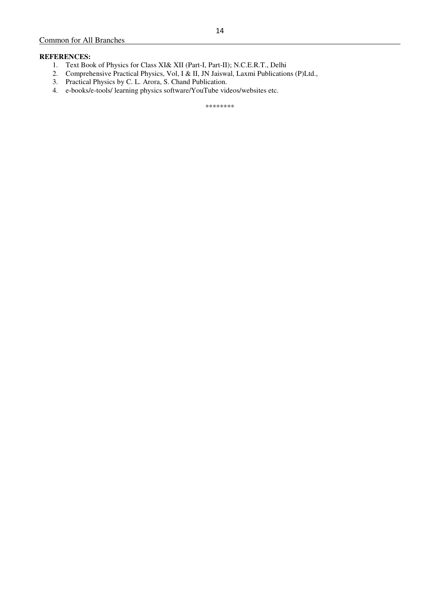## **REFERENCES:**

- 1. Text Book of Physics for Class XI& XII (Part-I, Part-II); N.C.E.R.T., Delhi
- 2. Comprehensive Practical Physics, Vol, I & II, JN Jaiswal, Laxmi Publications (P)Ltd.,
- 3. Practical Physics by C. L. Arora, S. Chand Publication.
- 4. e-books/e-tools/ learning physics software/YouTube videos/websites etc.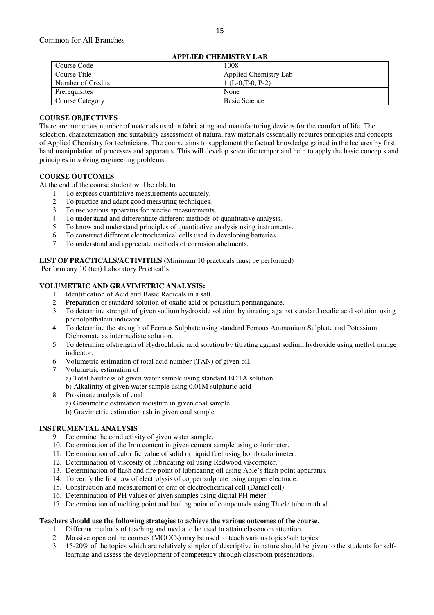| APPLIED CHEMISTRY LAB  |                       |  |  |
|------------------------|-----------------------|--|--|
| Course Code            | 1008                  |  |  |
| Course Title           | Applied Chemistry Lab |  |  |
| Number of Credits      | $1(L-0,T-0, P-2)$     |  |  |
| Prerequisites          | None                  |  |  |
| <b>Course Category</b> | <b>Basic Science</b>  |  |  |

## **APPLIED CHEMISTRY LAB**

#### **COURSE OBJECTIVES**

There are numerous number of materials used in fabricating and manufacturing devices for the comfort of life. The selection, characterization and suitability assessment of natural raw materials essentially requires principles and concepts of Applied Chemistry for technicians. The course aims to supplement the factual knowledge gained in the lectures by first hand manipulation of processes and apparatus. This will develop scientific temper and help to apply the basic concepts and principles in solving engineering problems.

## **COURSE OUTCOMES**

At the end of the course student will be able to

- 1. To express quantitative measurements accurately.
- 2. To practice and adapt good measuring techniques.
- 3. To use various apparatus for precise measurements.
- 4. To understand and differentiate different methods of quantitative analysis.
- 5. To know and understand principles of quantitative analysis using instruments.
- 6. To construct different electrochemical cells used in developing batteries.
- 7. To understand and appreciate methods of corrosion abetments.

**LIST OF PRACTICALS/ACTIVITIES** (Minimum 10 practicals must be performed)

Perform any 10 (ten) Laboratory Practical's.

#### **VOLUMETRIC AND GRAVIMETRIC ANALYSIS:**

- 1. Identification of Acid and Basic Radicals in a salt.
- 2. Preparation of standard solution of oxalic acid or potassium permanganate.
- 3. To determine strength of given sodium hydroxide solution by titrating against standard oxalic acid solution using phenolphthalein indicator.
- 4. To determine the strength of Ferrous Sulphate using standard Ferrous Ammonium Sulphate and Potassium Dichromate as intermediate solution.
- 5. To determine ofstrength of Hydrochloric acid solution by titrating against sodium hydroxide using methyl orange indicator.
- 6. Volumetric estimation of total acid number (TAN) of given oil.
- 7. Volumetric estimation of a) Total hardness of given water sample using standard EDTA solution.
	- b) Alkalinity of given water sample using 0.01M sulphuric acid
- 8. Proximate analysis of coal
	- a) Gravimetric estimation moisture in given coal sample
	- b) Gravimetric estimation ash in given coal sample

#### **INSTRUMENTAL ANALYSIS**

- 9. Determine the conductivity of given water sample.
- 10. Determination of the Iron content in given cement sample using colorimeter.
- 11. Determination of calorific value of solid or liquid fuel using bomb calorimeter.
- 12. Determination of viscosity of lubricating oil using Redwood viscometer.
- 13. Determination of flash and fire point of lubricating oil using Able's flash point apparatus.
- 14. To verify the first law of electrolysis of copper sulphate using copper electrode.
- 15. Construction and measurement of emf of electrochemical cell (Daniel cell).
- 16. Determination of PH values of given samples using digital PH meter.
- 17. Determination of melting point and boiling point of compounds using Thiele tube method.

#### **Teachers should use the following strategies to achieve the various outcomes of the course.**

- 1. Different methods of teaching and media to be used to attain classroom attention.
- 2. Massive open online courses (MOOCs) may be used to teach various topics/sub topics.
- 3. 15-20% of the topics which are relatively simpler of descriptive in nature should be given to the students for selflearning and assess the development of competency through classroom presentations.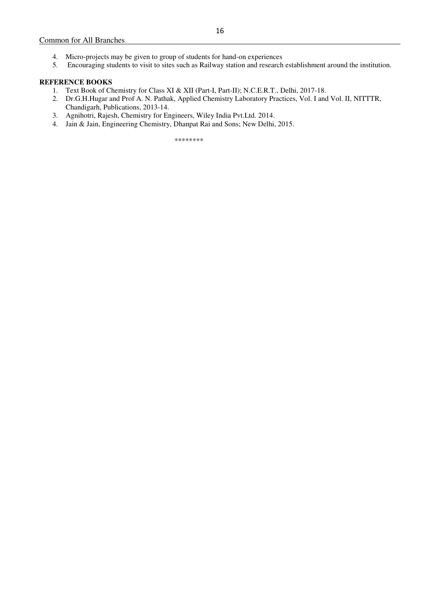5. Encouraging students to visit to sites such as Railway station and research establishment around the institution.

## **REFERENCE BOOKS**

- 1. Text Book of Chemistry for Class XI & XII (Part-I, Part-II); N.C.E.R.T., Delhi, 2017-18.
- 2. Dr.G.H.Hugar and Prof A. N. Pathak, Applied Chemistry Laboratory Practices, Vol. I and Vol. II, NITTTR, Chandigarh, Publications, 2013-14.
- 3. Agnihotri, Rajesh, Chemistry for Engineers, Wiley India Pvt.Ltd. 2014.
- 4. Jain & Jain, Engineering Chemistry, Dhanpat Rai and Sons; New Delhi, 2015.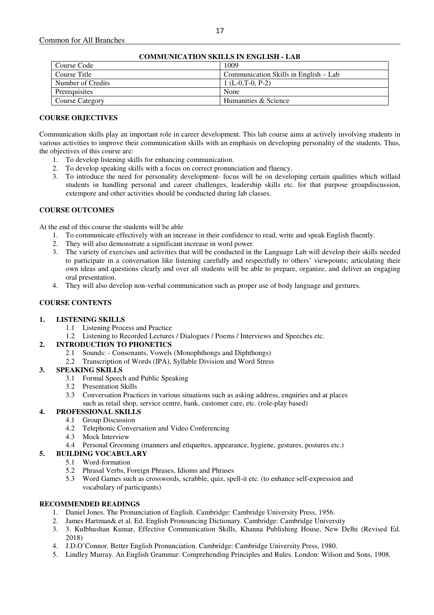| COMMUNICATION SKILLS IN ENGLISH - LAB |                                       |
|---------------------------------------|---------------------------------------|
| Course Code                           | 1009                                  |
| Course Title                          | Communication Skills in English – Lab |
| Number of Credits                     | 1 (L-0,T-0, P-2)                      |
| Prerequisites                         | None                                  |
| Course Category                       | Humanities & Science                  |

## **COMMUNICATION SKILLS IN ENGLISH - LAB**

## **COURSE OBJECTIVES**

Communication skills play an important role in career development. This lab course aims at actively involving students in various activities to improve their communication skills with an emphasis on developing personality of the students. Thus, the objectives of this course are:

- 1. To develop listening skills for enhancing communication.
- 2. To develop speaking skills with a focus on correct pronunciation and fluency.
- 3. To introduce the need for personality development- focus will be on developing certain qualities which willaid students in handling personal and career challenges, leadership skills etc. for that purpose groupdiscussion, extempore and other activities should be conducted during lab classes.

## **COURSE OUTCOMES**

At the end of this course the students will be able

- 1. To communicate effectively with an increase in their confidence to read, write and speak English fluently.
- 2. They will also demonstrate a significant increase in word power.
- 3. The variety of exercises and activities that will be conducted in the Language Lab will develop their skills needed to participate in a conversation like listening carefully and respectfully to others' viewpoints; articulating their own ideas and questions clearly and over all students will be able to prepare, organize, and deliver an engaging oral presentation.
- 4. They will also develop non-verbal communication such as proper use of body language and gestures.

#### **COURSE CONTENTS**

#### **1. LISTENING SKILLS**

- 1.1 Listening Process and Practice
- 1.2 Listening to Recorded Lectures / Dialogues / Poems / Interviews and Speeches etc.

#### **2. INTRODUCTION TO PHONETICS**

- 2.1 Sounds: Consonants, Vowels (Monophthongs and Diphthongs)
- 2.2 Transcription of Words (IPA), Syllable Division and Word Stress

#### **3. SPEAKING SKILLS**

- 3.1 Formal Speech and Public Speaking
- 3.2 Presentation Skills
- 3.3 Conversation Practices in various situations such as asking address, enquiries and at places such as retail shop, service centre, bank, customer care, etc. (role-play based)

## **4. PROFESSIONAL SKILLS**

- 4.1 Group Discussion
	- 4.2 Telephonic Conversation and Video Conferencing
	- 4.3 Mock Interview
	- 4.4 Personal Grooming (manners and etiquettes, appearance, hygiene, gestures, postures etc.)

#### **5. BUILDING VOCABULARY**

- 5.1 Word-formation
- 5.2 Phrasal Verbs, Foreign Phrases, Idioms and Phrases
- 5.3 Word Games such as crosswords, scrabble, quiz, spell-it etc. (to enhance self-expression and vocabulary of participants)

#### **RECOMMENDED READINGS**

- 1. Daniel Jones. The Pronunciation of English. Cambridge: Cambridge University Press, 1956.
- 2. James Hartman& et al. Ed. English Pronouncing Dictionary. Cambridge: Cambridge University
- 3. 3. Kulbhushan Kumar, Effective Communication Skills, Khanna Publishing House, New Delhi (Revised Ed. 2018)
- 4. J.D.O'Connor. Better English Pronunciation. Cambridge: Cambridge University Press, 1980.
- 5. Lindley Murray. An English Grammar: Comprehending Principles and Rules. London: Wilson and Sons, 1908.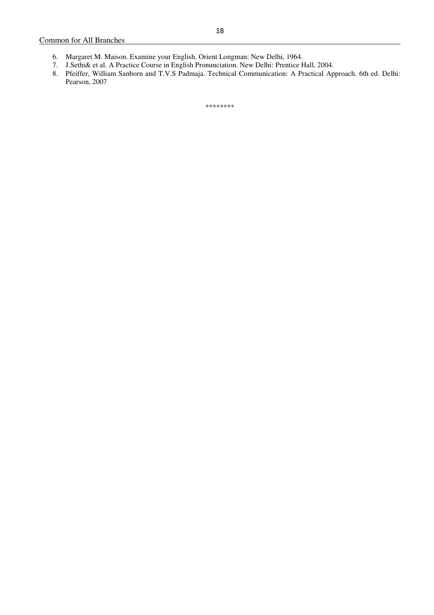- 6. Margaret M. Maison. Examine your English. Orient Longman: New Delhi, 1964.
- 7. J.Sethi& et al. A Practice Course in English Pronunciation. New Delhi: Prentice Hall, 2004.
- 8. Pfeiffer, William Sanborn and T.V.S Padmaja. Technical Communication: A Practical Approach. 6th ed. Delhi: Pearson, 2007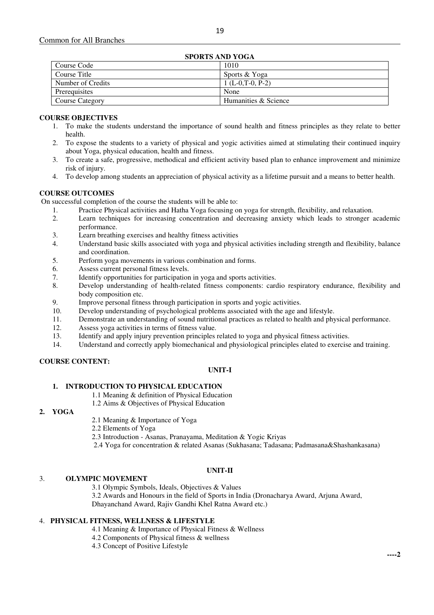| SPORTS AND YOGA   |                      |
|-------------------|----------------------|
| Course Code       | 1010                 |
| Course Title      | Sports & Yoga        |
| Number of Credits | $1(L-0,T-0, P-2)$    |
| Prerequisites     | None                 |
| Course Category   | Humanities & Science |
|                   |                      |

## **SPORTS AND YOGA**

## **COURSE OBJECTIVES**

- 1. To make the students understand the importance of sound health and fitness principles as they relate to better health.
- 2. To expose the students to a variety of physical and yogic activities aimed at stimulating their continued inquiry about Yoga, physical education, health and fitness.
- 3. To create a safe, progressive, methodical and efficient activity based plan to enhance improvement and minimize risk of injury.
- 4. To develop among students an appreciation of physical activity as a lifetime pursuit and a means to better health.

## **COURSE OUTCOMES**

On successful completion of the course the students will be able to:

- 1. Practice Physical activities and Hatha Yoga focusing on yoga for strength, flexibility, and relaxation.
- 2. Learn techniques for increasing concentration and decreasing anxiety which leads to stronger academic performance.
- 3. Learn breathing exercises and healthy fitness activities
- 4. Understand basic skills associated with yoga and physical activities including strength and flexibility, balance and coordination.
- 5. Perform yoga movements in various combination and forms.
- 6. Assess current personal fitness levels.
- 7. Identify opportunities for participation in yoga and sports activities.
- 8. Develop understanding of health-related fitness components: cardio respiratory endurance, flexibility and body composition etc.
- 9. Improve personal fitness through participation in sports and yogic activities.
- 10. Develop understanding of psychological problems associated with the age and lifestyle.
- 11. Demonstrate an understanding of sound nutritional practices as related to health and physical performance.
- 12. Assess yoga activities in terms of fitness value.
- 13. Identify and apply injury prevention principles related to yoga and physical fitness activities.
- 14. Understand and correctly apply biomechanical and physiological principles elated to exercise and training.

## **COURSE CONTENT:**

#### **UNIT-I**

## **1. INTRODUCTION TO PHYSICAL EDUCATION**

1.1 Meaning & definition of Physical Education

#### 1.2 Aims & Objectives of Physical Education

## **2. YOGA**

- 2.1 Meaning & Importance of Yoga
- 2.2 Elements of Yoga
- 2.3 Introduction Asanas, Pranayama, Meditation & Yogic Kriyas
- 2.4 Yoga for concentration & related Asanas (Sukhasana; Tadasana; Padmasana&Shashankasana)

## **UNIT-II**

## 3. **OLYMPIC MOVEMENT**

3.1 Olympic Symbols, Ideals, Objectives & Values

 3.2 Awards and Honours in the field of Sports in India (Dronacharya Award, Arjuna Award, Dhayanchand Award, Rajiv Gandhi Khel Ratna Award etc.)

## 4. **PHYSICAL FITNESS, WELLNESS & LIFESTYLE**

- 4.1 Meaning & Importance of Physical Fitness & Wellness
- 4.2 Components of Physical fitness & wellness
- 4.3 Concept of Positive Lifestyle